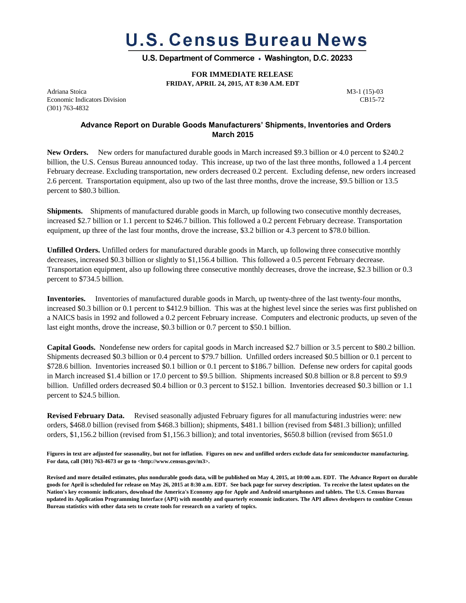# **U.S. Census Bureau News**

U.S. Department of Commerce • Washington, D.C. 20233

 **FOR IMMEDIATE RELEASE**

**FRIDAY, APRIL 24, 2015, AT 8:30 A.M. EDT**

Adriana Stoica **M3-1** (15)-03 Economic Indicators Division CB15-72 (301) 763-4832

## **Advance Report on Durable Goods Manufacturers' Shipments, Inventories and Orders March 2015**

**New Orders.** New orders for manufactured durable goods in March increased \$9.3 billion or 4.0 percent to \$240.2 billion, the U.S. Census Bureau announced today. This increase, up two of the last three months, followed a 1.4 percent February decrease. Excluding transportation, new orders decreased 0.2 percent. Excluding defense, new orders increased 2.6 percent. Transportation equipment, also up two of the last three months, drove the increase, \$9.5 billion or 13.5 percent to \$80.3 billion.

**Shipments.** Shipments of manufactured durable goods in March, up following two consecutive monthly decreases, increased \$2.7 billion or 1.1 percent to \$246.7 billion. This followed a 0.2 percent February decrease. Transportation equipment, up three of the last four months, drove the increase, \$3.2 billion or 4.3 percent to \$78.0 billion.

**Unfilled Orders.** Unfilled orders for manufactured durable goods in March, up following three consecutive monthly decreases, increased \$0.3 billion or slightly to \$1,156.4 billion. This followed a 0.5 percent February decrease. Transportation equipment, also up following three consecutive monthly decreases, drove the increase, \$2.3 billion or 0.3 percent to \$734.5 billion.

**Inventories.** Inventories of manufactured durable goods in March, up twenty-three of the last twenty-four months, increased \$0.3 billion or 0.1 percent to \$412.9 billion. This was at the highest level since the series was first published on a NAICS basis in 1992 and followed a 0.2 percent February increase. Computers and electronic products, up seven of the last eight months, drove the increase, \$0.3 billion or 0.7 percent to \$50.1 billion.

**Capital Goods.** Nondefense new orders for capital goods in March increased \$2.7 billion or 3.5 percent to \$80.2 billion. Shipments decreased \$0.3 billion or 0.4 percent to \$79.7 billion. Unfilled orders increased \$0.5 billion or 0.1 percent to \$728.6 billion. Inventories increased \$0.1 billion or 0.1 percent to \$186.7 billion. Defense new orders for capital goods in March increased \$1.4 billion or 17.0 percent to \$9.5 billion. Shipments increased \$0.8 billion or 8.8 percent to \$9.9 billion. Unfilled orders decreased \$0.4 billion or 0.3 percent to \$152.1 billion. Inventories decreased \$0.3 billion or 1.1 percent to \$24.5 billion.

**Revised February Data.** Revised seasonally adjusted February figures for all manufacturing industries were: new orders, \$468.0 billion (revised from \$468.3 billion); shipments, \$481.1 billion (revised from \$481.3 billion); unfilled orders, \$1,156.2 billion (revised from \$1,156.3 billion); and total inventories, \$650.8 billion (revised from \$651.0

**Figures in text are adjusted for seasonality, but not for inflation. Figures on new and unfilled orders exclude data for semiconductor manufacturing. For data, call (301) 763-4673 or go to <http://www.census.gov/m3>.** 

**Revised and more detailed estimates, plus nondurable goods data, will be published on May 4, 2015, at 10:00 a.m. EDT. The Advance Report on durable goods for April is scheduled for release on May 26, 2015 at 8:30 a.m. EDT. See back page for survey description. To receive the latest updates on the Nation's key economic indicators, download the America's Economy app for Apple and Android smartphones and tablets. The U.S. Census Bureau updated its Application Programming Interface (API) with monthly and quarterly economic indicators. The API allows developers to combine Census Bureau statistics with other data sets to create tools for research on a variety of topics.**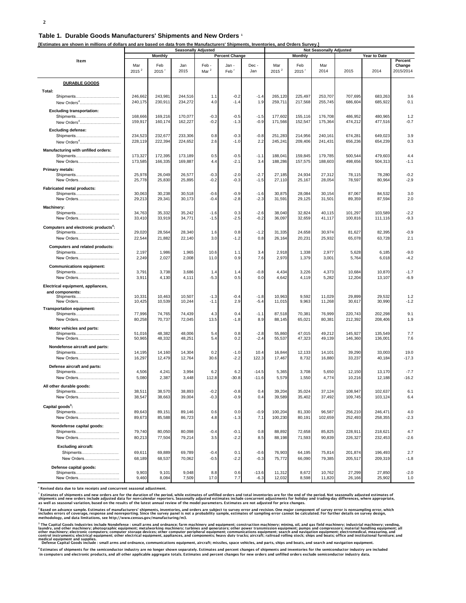#### **Table 1. Durable Goods Manufacturers' Shipments and New Orders <sup>1</sup>**

**[Estimates are shown in millions of dollars and are based on data from the Manufacturers' Shipments, Inventories, and Orders Survey.]**

|                                                                                 | <b>Seasonally Adjusted</b> |                    |                    |                          |                           |                    | <b>Not Seasonally Adjusted</b> |                    |                    |                         |                    |                     |
|---------------------------------------------------------------------------------|----------------------------|--------------------|--------------------|--------------------------|---------------------------|--------------------|--------------------------------|--------------------|--------------------|-------------------------|--------------------|---------------------|
|                                                                                 | Monthly                    |                    |                    | <b>Percent Change</b>    |                           |                    | <b>Monthly</b>                 |                    |                    | Year to Date<br>Percent |                    |                     |
| Item                                                                            | Mar<br>2015 <sup>2</sup>   | Feb<br>2015        | Jan<br>2015        | Feb-<br>Mar <sup>2</sup> | Jan -<br>Feb <sup>r</sup> | Dec-<br>Jan        | Mar<br>2015 <sup>2</sup>       | Feb<br>2015        | Mar<br>2014        | 2015                    | 2014               | Change<br>2015/2014 |
| <b>DURABLE GOODS</b>                                                            |                            |                    |                    |                          |                           |                    |                                |                    |                    |                         |                    |                     |
| Total:<br>Shipments<br>New Orders <sup>4</sup>                                  | 246,662<br>240,175         | 243,981<br>230,911 | 244,516<br>234,272 | 1.1<br>4.0               | $-0.2$<br>$-1.4$          | $-1.4$<br>1.9      | 265,120<br>259,711             | 225,497<br>217,568 | 253,707<br>255,745 | 707,695<br>686,604      | 683,263<br>685,922 | 3.6<br>0.1          |
| <b>Excluding transportation:</b><br>Shipments<br>New Orders <sup>4</sup>        | 168,666<br>159,917         | 169,216<br>160,174 | 170,077<br>162,227 | $-0.3$<br>$-0.2$         | $-0.5$<br>$-1.3$          | $-1.5$<br>$-0.9$   | 177,602<br>171,566             | 155,116<br>152,547 | 176,708<br>175,364 | 486,952<br>474,212      | 480,965<br>477,516 | 1.2<br>$-0.7$       |
| <b>Excluding defense:</b><br>Shipments<br>New Orders <sup>4</sup>               | 234,523<br>228,119         | 232,677<br>222,394 | 233,306<br>224,652 | 0.8<br>2.6               | $-0.3$<br>$-1.0$          | $-0.8$<br>2.2      | 251,283<br>245,241             | 214,956<br>209,406 | 240,161<br>241,431 | 674,281<br>656,236      | 649,023<br>654,239 | 3.9<br>0.3          |
| Manufacturing with unfilled orders:<br>Shipments                                | 173,327                    | 172,395            | 173,189            | 0.5                      | $-0.5$                    | $-1.1$             | 188,041                        | 159,845            | 179,785            | 500,544                 | 479,603            | 4.4                 |
| New Orders<br><b>Primary metals:</b><br>Shipments                               | 173,585<br>25,978          | 166,335<br>26,049  | 169,887<br>26,577  | 4.4<br>$-0.3$            | $-2.1$<br>$-2.0$          | 3.4<br>$-2.7$      | 188,286<br>27,185              | 157,575<br>24,934  | 188,603<br>27,312  | 498,656<br>78,115       | 504,313<br>78,280  | $-1.1$<br>$-0.2$    |
| New Orders                                                                      | 25,778                     | 25,830             | 25,895             | $-0.2$                   | $-0.3$                    | $-1.5$             | 27,110                         | 25,167             | 28,054             | 78,597                  | 80,964             | $-2.9$              |
| <b>Fabricated metal products:</b><br>Shipments<br>New Orders                    | 30,063<br>29,213           | 30,238<br>29,341   | 30,518<br>30,173   | $-0.6$<br>$-0.4$         | $-0.9$<br>$-2.8$          | $-1.6$<br>$-2.3$   | 30,875<br>31,591               | 28,084<br>29,125   | 30,154<br>31,501   | 87,067<br>89,359        | 84,532<br>87,594   | 3.0<br>2.0          |
| Machinery:<br>Shipments<br>New Orders                                           | 34,763<br>33,410           | 35,332<br>33,919   | 35,242<br>34,771   | $-1.6$<br>$-1.5$         | 0.3<br>$-2.5$             | $-2.6$<br>$-0.2$   | 38,040<br>36,097               | 32,824<br>32,659   | 40,115<br>41,117   | 101,297<br>100,816      | 103,589<br>111,116 | $-2.2$<br>$-9.3$    |
| Computers and electronic products <sup>4</sup> :<br>Shipments<br>New Orders     | 29,020<br>22,544           | 28,564<br>21,882   | 28,340<br>22,140   | 1.6<br>3.0               | 0.8<br>$-1.2$             | $-1.2$<br>0.8      | 31,335<br>26,164               | 24,658<br>20,231   | 30,974<br>25,932   | 81,627<br>65,078        | 82,395<br>63,728   | $-0.9$<br>2.1       |
| Computers and related products:<br>Shipments<br>New Orders                      | 2,197<br>2,249             | 1,986<br>2,027     | 1,965<br>2,008     | 10.6<br>11.0             | 1.1<br>0.9                | 3.4<br>7.6         | 2,918<br>2,970                 | 1,338<br>1,379     | 2,977<br>3,001     | 5,628<br>5,764          | 6,185<br>6,018     | $-9.0$<br>$-4.2$    |
| <b>Communications equipment:</b>                                                |                            |                    |                    |                          |                           |                    |                                |                    |                    |                         |                    |                     |
| Shipments<br>New Orders                                                         | 3,791<br>3,911             | 3,738<br>4,130     | 3,686<br>4,111     | 1.4<br>$-5.3$            | 1.4<br>0.5                | $-0.8$<br>0.0      | 4,434<br>4,642                 | 3,226<br>4,119     | 4,373<br>5,282     | 10,684<br>12,204        | 10,870<br>13,107   | $-1.7$<br>$-6.9$    |
| Electrical equipment, appliances,<br>and components:<br>Shipments<br>New Orders | 10,331<br>10,425           | 10,463<br>10,539   | 10,507<br>10,244   | $-1.3$<br>$-1.1$         | $-0.4$<br>2.9             | $-1.8$<br>$-5.4$   | 10,963<br>11,015               | 9,592<br>9,963     | 11,029<br>11,268   | 29,899<br>30,617        | 29,532<br>30,990   | 1.2<br>$-1.2$       |
| <b>Transportation equipment:</b><br>Shipments<br>New Orders                     | 77,996<br>80,258           | 74,765<br>70,737   | 74,439<br>72,045   | 4.3<br>13.5              | 0.4<br>$-1.8$             | $-1.1$<br>8.9      | 87,518<br>88,145               | 70,381<br>65,021   | 76,999<br>80,381   | 220,743<br>212,392      | 202,298<br>208,406 | 9.1<br>1.9          |
| Motor vehicles and parts:<br>Shipments<br>New Orders                            | 51,016<br>50,965           | 48,382<br>48,332   | 48,006<br>48,251   | 5.4<br>5.4               | 0.8<br>0.2                | $-2.8$<br>$-2.4$   | 55,860<br>55,537               | 47,015<br>47,323   | 49,212<br>49,139   | 145,927<br>146,360      | 135,549<br>136,001 | 7.7<br>7.6          |
| Nondefense aircraft and parts:<br>Shipments<br>New Orders                       | 14,195<br>16,297           | 14,160<br>12,479   | 14,304<br>12,764   | 0.2<br>30.6              | $-1.0$<br>$-2.2$          | 10.4<br>122.3      | 16,844<br>17,467               | 12,133<br>8,732    | 14,101<br>16,880   | 39,290<br>33,237        | 33,003<br>40,184   | 19.0<br>$-17.3$     |
| Defense aircraft and parts:<br>Shipments<br>New Orders                          | 4,506<br>5,080             | 4,241<br>2,387     | 3,994<br>3,448     | 6.2<br>112.8             | 6.2<br>$-30.8$            | $-14.5$<br>$-11.6$ | 5,365<br>5,579                 | 3,708<br>1,550     | 5,650<br>4,774     | 12,150<br>10,216        | 13,170<br>12,188   | $-7.7$<br>$-16.2$   |
| All other durable goods:<br>Shipments<br>New Orders                             | 38,511<br>38,547           | 38,570<br>38,663   | 38,893<br>39,004   | $-0.2$<br>$-0.3$         | $-0.8$<br>$-0.9$          | 0.4<br>0.4         | 39,204<br>39,589               | 35,024<br>35,402   | 37,124<br>37,492   | 108,947<br>109,745      | 102,637<br>103,124 | 6.1<br>6.4          |
| Capital goods <sup>3</sup> :<br>Shipments<br>New Orders                         | 89,643<br>89,673           | 89,151<br>85,588   | 89,146<br>86,723   | 0.6<br>4.8               | 0.0<br>$-1.3$             | $-0.9$<br>7.1      | 100,204<br>100,230             | 81,330<br>80,191   | 96,587<br>102,659  | 256,210<br>252,493      | 246,471<br>258,355 | 4.0<br>$-2.3$       |
| Nondefense capital goods:<br>Shipments                                          | 79,740                     | 80,050             | 80,098             | $-0.4$                   | $-0.1$                    | 0.8                | 88,892                         | 72,658             | 85,825             | 228,911                 | 218,621            | 4.7                 |
| New Orders<br><b>Excluding aircraft:</b>                                        | 80,213                     | 77,504             | 79,214             | 3.5                      | $-2.2$                    | 8.5                | 88,198                         | 71,593             | 90,839             | 226,327                 | 232,453            | $-2.6$              |
| Shipments<br>New Orders                                                         | 69,611<br>68,189           | 69,889<br>68,537   | 69,789<br>70,062   | $-0.4$<br>$-0.5$         | 0.1<br>$-2.2$             | $-0.6$<br>$-0.3$   | 76,903<br>75,772               | 64,195<br>66,090   | 75,814<br>79,385   | 201,874<br>205,517      | 196,493<br>209,319 | 2.7<br>$-1.8$       |
| Defense capital goods:<br>Shipments                                             | 9,903                      | 9,101              | 9,048              | 8.8                      | 0.6                       | $-13.6$            | 11,312                         | 8,672              | 10,762             | 27,299                  | 27,850             | $-2.0$              |
| New Orders                                                                      | 9,460                      | 8,084              | 7,509              | 17.0                     | 7.7                       | $-6.3$             | 12,032                         | 8,598              | 11,820             | 26,166                  | 25,902             | 1.0                 |

**r Revised data due to late receipts and concurrent seasonal adjustment.**

<sup>1</sup> Estimates of shioments and new orders are for the duration of the period. while estimates of unfilled orders and total inventories are for the end of the period. Not seasonally adiusted estimates of<br>shioments and new o

<sup>2</sup> Based on advance sample. Estimates of manufacturers' shipments. inventories. and orders are subiect to survev error and revision. One maior component of survev error is nonsampling error. which<br>includes errors of cover

<sup>3</sup> The Capital Goods Industries include Nondefense : small arms and ordnance; farm machinery and requirempty mannity compared in mannimation machinery, mannimation in a field machinery; inderial handling equipment; all ma medical equipment and supplies.<br>Defense Capital Goods include : small arms and ordnance, communications equipment, aircraft; missiles, space vehicles, and parts, ships and boats, and search and navigation equipment.

<sup>4</sup> Estimates of shipments for the semiconductor industry are no longer shown separately. Estimates and percent changes of shipments and inventories for the semiconductor industry are included<br>in computers and electronic p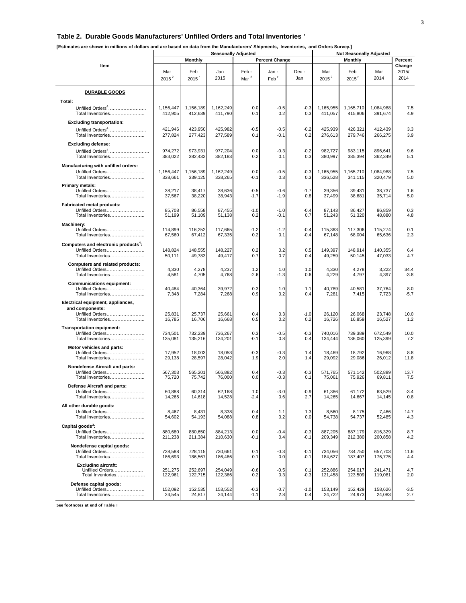### **Table 2. Durable Goods Manufacturers' Unfilled Orders and Total Inventories <sup>1</sup>**

| [Estimates are shown in millions of dollars and are based on data from the Manufacturers' Shipments, Inventories, and Orders Survey.] |  |  |
|---------------------------------------------------------------------------------------------------------------------------------------|--|--|
|                                                                                                                                       |  |  |

|                                                                                              |                      |                      | <b>Seasonally Adjusted</b> | <b>Not Seasonally Adjusted</b> |                           |                  |                      |                      |                      |                         |
|----------------------------------------------------------------------------------------------|----------------------|----------------------|----------------------------|--------------------------------|---------------------------|------------------|----------------------|----------------------|----------------------|-------------------------|
|                                                                                              | <b>Monthly</b>       |                      |                            |                                | <b>Percent Change</b>     |                  | Monthly              |                      |                      | Percent                 |
| Item                                                                                         | Mar<br>$2015^2$      | Feb<br>2015'         | Jan<br>2015                | Feb -<br>Mar $^2$              | Jan -<br>Feb <sup>'</sup> | Dec -<br>Jan     | Mar<br>$2015^2$      | Feb<br>2015'         | Mar<br>2014          | Change<br>2015/<br>2014 |
| <b>DURABLE GOODS</b>                                                                         |                      |                      |                            |                                |                           |                  |                      |                      |                      |                         |
| Total:<br>Unfilled Orders <sup>4</sup><br>Total Inventories                                  | 1,156,447<br>412,905 | 1,156,189<br>412,639 | 1,162,249<br>411,790       | 0.0<br>0.1                     | $-0.5$<br>0.2             | $-0.3$<br>0.3    | 1,165,955<br>411,057 | 1,165,710<br>415,806 | 1,084,988<br>391,674 | 7.5<br>4.9              |
| <b>Excluding transportation:</b>                                                             |                      |                      |                            |                                |                           |                  |                      |                      |                      |                         |
| Unfilled Orders <sup>4</sup><br>Total Inventories                                            | 421,946<br>277,824   | 423,950<br>277,423   | 425,982<br>277,589         | -0.5<br>0.1                    | $-0.5$<br>$-0.1$          | $-0.2$<br>0.2    | 425,939<br>276,613   | 426,321<br>279,746   | 412,439<br>266,275   | 3.3<br>3.9              |
| <b>Excluding defense:</b><br>Unfilled Orders <sup>4</sup><br>Total Inventories               | 974,272<br>383,022   | 973.931<br>382,432   | 977,204<br>382,183         | 0.0<br>0.2                     | $-0.3$<br>0.1             | $-0.2$<br>0.3    | 982.727<br>380,997   | 983,115<br>385,394   | 896,641<br>362,349   | 9.6<br>5.1              |
| Manufacturing with unfilled orders:<br>Unfilled Orders<br>Total Inventories                  | 1,156,447<br>338,661 | 1,156,189<br>339,125 | 1,162,249<br>338,265       | 0.0<br>$-0.1$                  | $-0.5$<br>0.3             | $-0.3$<br>0.3    | 1,165,955<br>336,528 | 1,165,710<br>341,115 | 1,084,988<br>320,479 | 7.5<br>5.0              |
| Primary metals:<br>Unfilled Orders<br>Total Inventories                                      | 38,217<br>37,567     | 38,417<br>38,220     | 38,636<br>38,943           | $-0.5$<br>$-1.7$               | $-0.6$<br>$-1.9$          | $-1.7$<br>0.8    | 39,356<br>37,499     | 39,431<br>38,681     | 38,737<br>35,714     | 1.6<br>5.0              |
| <b>Fabricated metal products:</b><br>Unfilled Orders<br>Total Inventories                    | 85,708<br>51,199     | 86,558<br>51,109     | 87,455<br>51,138           | $-1.0$<br>0.2                  | $-1.0$<br>$-0.1$          | $-0.4$<br>0.7    | 87,143<br>51,243     | 86,427<br>51,320     | 86,859<br>48,880     | 0.3<br>4.8              |
| Machinery:<br>Unfilled Orders<br>Total Inventories                                           | 114,899<br>67,560    | 116,252<br>67,412    | 117,665<br>67,335          | $-1.2$<br>0.2                  | $-1.2$<br>0.1             | $-0.4$<br>$-0.4$ | 115,363<br>67,148    | 117,306<br>68,004    | 115,274<br>65,636    | 0.1<br>2.3              |
| Computers and electronic products <sup>4</sup> :<br>Unfilled Orders<br>Total Inventories     | 148,824<br>50,111    | 148,555<br>49,783    | 148,227<br>49,417          | 0.2<br>0.7                     | 0.2<br>0.7                | 0.5<br>0.4       | 149,397<br>49,259    | 148,914<br>50,145    | 140,355<br>47,033    | 6.4<br>4.7              |
| <b>Computers and related products:</b><br>Unfilled Orders<br>Total Inventories               | 4,330<br>4,581       | 4,278<br>4,705       | 4,237<br>4,768             | 1.2<br>$-2.6$                  | 1.0<br>$-1.3$             | 1.0<br>0.6       | 4,330<br>4,229       | 4,278<br>4,797       | 3,222<br>4,397       | 34.4<br>$-3.8$          |
| <b>Communications equipment:</b><br>Unfilled Orders<br>Total Inventories                     | 40,484<br>7,348      | 40,364<br>7,284      | 39,972<br>7,268            | 0.3<br>0.9                     | 1.0<br>0.2                | 1.1<br>0.4       | 40,789<br>7,281      | 40,581<br>7,415      | 37,764<br>7,723      | 8.0<br>-5.7             |
| Electrical equipment, appliances,<br>and components:<br>Unfilled Orders<br>Total Inventories | 25,831<br>16,785     | 25,737<br>16,706     | 25,661<br>16,668           | 0.4<br>0.5                     | 0.3<br>0.2                | $-1.0$<br>0.2    | 26,120<br>16,726     | 26,068<br>16,859     | 23,748<br>16,527     | 10.0<br>1.2             |
| <b>Transportation equipment:</b><br>Unfilled Orders<br>Total Inventories                     | 734,501<br>135,081   | 732,239<br>135,216   | 736,267<br>134,201         | 0.3<br>$-0.1$                  | $-0.5$<br>0.8             | $-0.3$<br>0.4    | 740,016<br>134,444   | 739,389<br>136,060   | 672,549<br>125,399   | 10.0<br>7.2             |
| Motor vehicles and parts:<br>Unfilled Orders<br>Total Inventories                            | 17,952<br>29,138     | 18,003<br>28,597     | 18,053<br>28,042           | $-0.3$<br>1.9                  | $-0.3$<br>2.0             | 1.4<br>1.4       | 18,469<br>29,092     | 18,792<br>29,086     | 16,968<br>26,012     | 8.8<br>11.8             |
| Nondefense Aircraft and parts:<br>Unfilled Orders<br>Total Inventories                       | 567,303<br>75,720    | 565,201<br>75,742    | 566,882<br>76,000          | 0.4<br>0.0                     | $-0.3$<br>$-0.3$          | $-0.3$<br>0.1    | 571,765<br>75,061    | 571.142<br>75,926    | 502,889<br>69,811    | 13.7<br>7.5             |
| Defense Aircraft and parts:<br>Unfilled Orders<br>Total Inventories                          | 60,888<br>14,265     | 60,314<br>14,618     | 62,168<br>14,528           | 1.0<br>$-2.4$                  | $-3.0$<br>0.6             | -0.9<br>2.7      | 61,386<br>14,265     | 61,172<br>14,667     | 63,529<br>14,145     | -3.4<br>0.8             |
| All other durable goods:<br>Unfilled Orders<br>Total Inventories                             | 8,467<br>54,602      | 8,431<br>54,193      | 8,338<br>54,088            | 0.4<br>0.8                     | 1.1<br>0.2                | 1.3<br>0.0       | 8,560<br>54,738      | 8,175<br>54,737      | 7,466<br>52,485      | 14.7<br>4.3             |
| Capital goods <sup>3</sup> :<br>Unfilled Orders<br>Total Inventories                         | 880,680<br>211,238   | 880,650<br>211,384   | 884,213<br>210,630         | 0.0<br>$-0.1$                  | $-0.4$<br>0.4             | $-0.3$<br>$-0.1$ | 887,205<br>209,349   | 887,179<br>212,380   | 816,329<br>200,858   | 8.7<br>4.2              |
| Nondefense capital goods:<br>Unfilled Orders<br>Total Inventories                            | 728,588<br>186,693   | 728,115<br>186,567   | 730.661<br>186,486         | 0.1<br>0.1                     | $-0.3$<br>0.0             | $-0.1$<br>$-0.1$ | 734,056<br>184,627   | 734,750<br>187,407   | 657,703<br>176,775   | 11.6<br>4.4             |
| <b>Excluding aircraft:</b><br>Unfilled Orders<br>Total Inventories                           | 251,275<br>122,961   | 252,697<br>122,715   | 254,049<br>122,386         | $-0.6$<br>0.2                  | $-0.5$<br>0.3             | 0.1<br>$-0.3$    | 252,886<br>121,458   | 254,017<br>123,509   | 241,471<br>119,081   | 4.7<br>2.0              |
| Defense capital goods:<br>Unfilled Orders<br>Total Inventories                               | 152,092<br>24,545    | 152,535<br>24,817    | 153,552<br>24,144          | $-0.3$<br>$-1.1$               | $-0.7$<br>2.8             | $-1.0$<br>0.4    | 153,149<br>24,722    | 152,429<br>24,973    | 158,626<br>24,083    | $-3.5$<br>2.7           |

**See footnotes at end of Table 1**